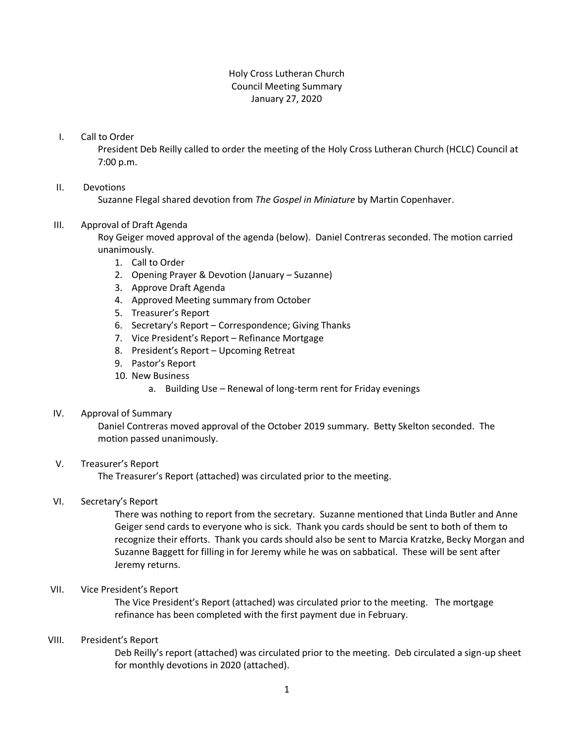# Holy Cross Lutheran Church Council Meeting Summary January 27, 2020

#### I. Call to Order

President Deb Reilly called to order the meeting of the Holy Cross Lutheran Church (HCLC) Council at 7:00 p.m.

## II. Devotions

Suzanne Flegal shared devotion from *The Gospel in Miniature* by Martin Copenhaver.

## III. Approval of Draft Agenda

Roy Geiger moved approval of the agenda (below). Daniel Contreras seconded. The motion carried unanimously.

- 1. Call to Order
- 2. Opening Prayer & Devotion (January Suzanne)
- 3. Approve Draft Agenda
- 4. Approved Meeting summary from October
- 5. Treasurer's Report
- 6. Secretary's Report Correspondence; Giving Thanks
- 7. Vice President's Report Refinance Mortgage
- 8. President's Report Upcoming Retreat
- 9. Pastor's Report
- 10. New Business
	- a. Building Use Renewal of long-term rent for Friday evenings

#### IV. Approval of Summary

Daniel Contreras moved approval of the October 2019 summary. Betty Skelton seconded. The motion passed unanimously.

# V. Treasurer's Report

The Treasurer's Report (attached) was circulated prior to the meeting.

#### VI. Secretary's Report

There was nothing to report from the secretary. Suzanne mentioned that Linda Butler and Anne Geiger send cards to everyone who is sick. Thank you cards should be sent to both of them to recognize their efforts. Thank you cards should also be sent to Marcia Kratzke, Becky Morgan and Suzanne Baggett for filling in for Jeremy while he was on sabbatical. These will be sent after Jeremy returns.

#### VII. Vice President's Report

The Vice President's Report (attached) was circulated prior to the meeting. The mortgage refinance has been completed with the first payment due in February.

## VIII. President's Report

Deb Reilly's report (attached) was circulated prior to the meeting. Deb circulated a sign-up sheet for monthly devotions in 2020 (attached).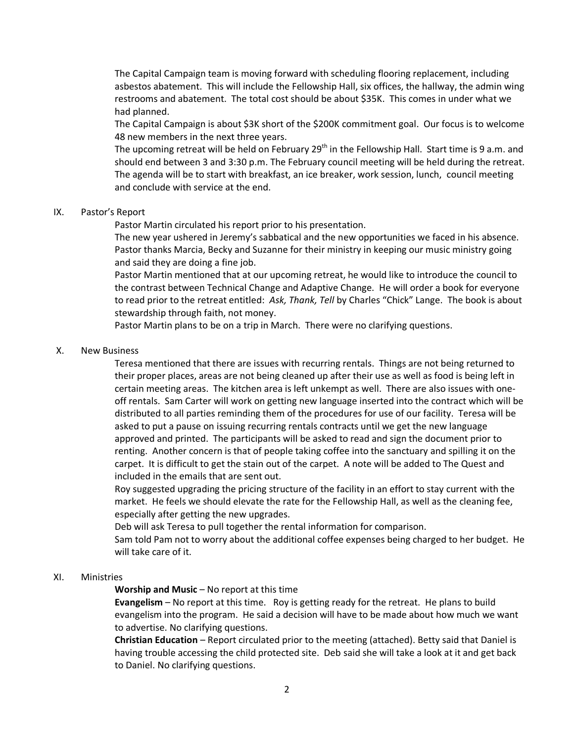The Capital Campaign team is moving forward with scheduling flooring replacement, including asbestos abatement. This will include the Fellowship Hall, six offices, the hallway, the admin wing restrooms and abatement. The total cost should be about \$35K. This comes in under what we had planned.

The Capital Campaign is about \$3K short of the \$200K commitment goal. Our focus is to welcome 48 new members in the next three years.

The upcoming retreat will be held on February 29<sup>th</sup> in the Fellowship Hall. Start time is 9 a.m. and should end between 3 and 3:30 p.m. The February council meeting will be held during the retreat. The agenda will be to start with breakfast, an ice breaker, work session, lunch, council meeting and conclude with service at the end.

## IX. Pastor's Report

Pastor Martin circulated his report prior to his presentation.

The new year ushered in Jeremy's sabbatical and the new opportunities we faced in his absence. Pastor thanks Marcia, Becky and Suzanne for their ministry in keeping our music ministry going and said they are doing a fine job.

Pastor Martin mentioned that at our upcoming retreat, he would like to introduce the council to the contrast between Technical Change and Adaptive Change. He will order a book for everyone to read prior to the retreat entitled: *Ask, Thank, Tell* by Charles "Chick" Lange. The book is about stewardship through faith, not money.

Pastor Martin plans to be on a trip in March. There were no clarifying questions.

## X. New Business

Teresa mentioned that there are issues with recurring rentals. Things are not being returned to their proper places, areas are not being cleaned up after their use as well as food is being left in certain meeting areas. The kitchen area is left unkempt as well. There are also issues with oneoff rentals. Sam Carter will work on getting new language inserted into the contract which will be distributed to all parties reminding them of the procedures for use of our facility. Teresa will be asked to put a pause on issuing recurring rentals contracts until we get the new language approved and printed. The participants will be asked to read and sign the document prior to renting. Another concern is that of people taking coffee into the sanctuary and spilling it on the carpet. It is difficult to get the stain out of the carpet. A note will be added to The Quest and included in the emails that are sent out.

Roy suggested upgrading the pricing structure of the facility in an effort to stay current with the market. He feels we should elevate the rate for the Fellowship Hall, as well as the cleaning fee, especially after getting the new upgrades.

Deb will ask Teresa to pull together the rental information for comparison.

Sam told Pam not to worry about the additional coffee expenses being charged to her budget. He will take care of it.

#### XI. Ministries

## **Worship and Music** – No report at this time

**Evangelism** – No report at this time. Roy is getting ready for the retreat. He plans to build evangelism into the program. He said a decision will have to be made about how much we want to advertise. No clarifying questions.

**Christian Education** – Report circulated prior to the meeting (attached). Betty said that Daniel is having trouble accessing the child protected site. Deb said she will take a look at it and get back to Daniel. No clarifying questions.